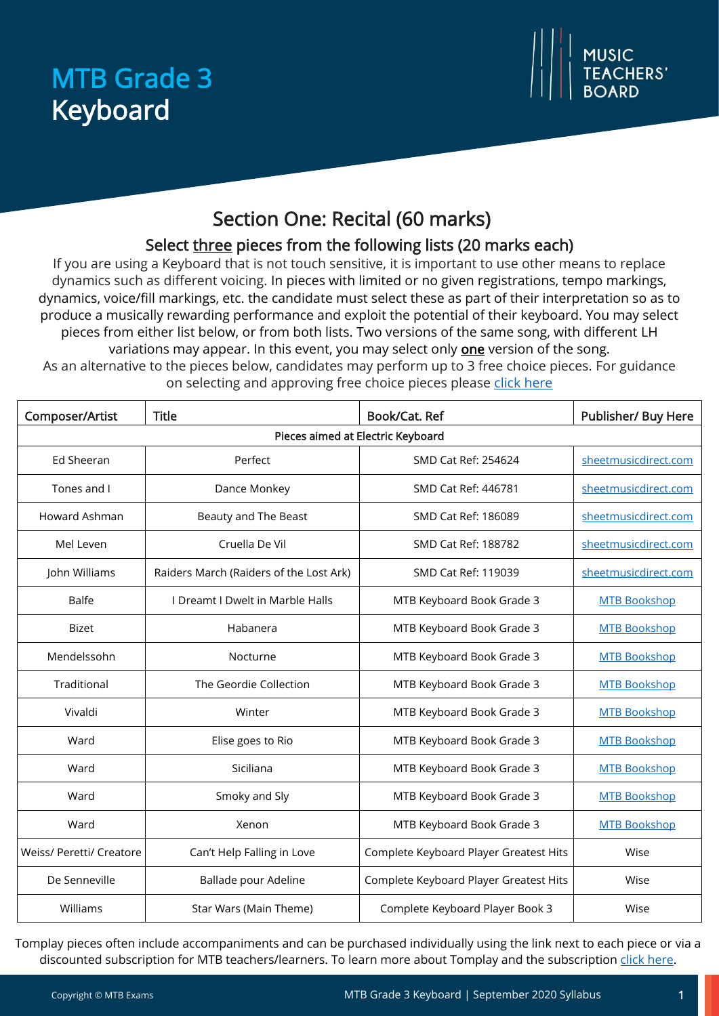# MTB Grade 3 Keyboard



# Section One: Recital (60 marks)

## Select three pieces from the following lists (20 marks each)

If you are using a Keyboard that is not touch sensitive, it is important to use other means to replace dynamics such as different voicing. In pieces with limited or no given registrations, tempo markings, dynamics, voice/fill markings, etc. the candidate must select these as part of their interpretation so as to produce a musically rewarding performance and exploit the potential of their keyboard. You may select pieces from either list below, or from both lists. Two versions of the same song, with different LH variations may appear. In this event, you may select only **one** version of the song.

As an alternative to the pieces below, candidates may perform up to 3 free choice pieces. For guidance on selecting and approving free choice pieces please [click here](https://www.mtbexams.com/how-it-works/free-choice-pieces-guidance/)

| Composer/Artist                   | <b>Title</b>                            | Book/Cat. Ref                          | Publisher/ Buy Here  |  |  |
|-----------------------------------|-----------------------------------------|----------------------------------------|----------------------|--|--|
| Pieces aimed at Electric Keyboard |                                         |                                        |                      |  |  |
| Ed Sheeran                        | Perfect                                 | SMD Cat Ref: 254624                    | sheetmusicdirect.com |  |  |
| Tones and I                       | Dance Monkey                            | SMD Cat Ref: 446781                    | sheetmusicdirect.com |  |  |
| Howard Ashman                     | Beauty and The Beast                    | SMD Cat Ref: 186089                    | sheetmusicdirect.com |  |  |
| Mel Leven                         | Cruella De Vil                          | SMD Cat Ref: 188782                    | sheetmusicdirect.com |  |  |
| John Williams                     | Raiders March (Raiders of the Lost Ark) | SMD Cat Ref: 119039                    | sheetmusicdirect.com |  |  |
| Balfe                             | I Dreamt I Dwelt in Marble Halls        | MTB Keyboard Book Grade 3              | <b>MTB Bookshop</b>  |  |  |
| <b>Bizet</b>                      | Habanera                                | MTB Keyboard Book Grade 3              | <b>MTB Bookshop</b>  |  |  |
| Mendelssohn                       | Nocturne                                | MTB Keyboard Book Grade 3              | <b>MTB Bookshop</b>  |  |  |
| Traditional                       | The Geordie Collection                  | MTB Keyboard Book Grade 3              | <b>MTB Bookshop</b>  |  |  |
| Vivaldi                           | Winter                                  | MTB Keyboard Book Grade 3              | <b>MTB Bookshop</b>  |  |  |
| Ward                              | Elise goes to Rio                       | MTB Keyboard Book Grade 3              | <b>MTB Bookshop</b>  |  |  |
| Ward                              | Siciliana                               | MTB Keyboard Book Grade 3              | <b>MTB Bookshop</b>  |  |  |
| Ward                              | Smoky and Sly                           | MTB Keyboard Book Grade 3              | <b>MTB Bookshop</b>  |  |  |
| Ward                              | Xenon                                   | MTB Keyboard Book Grade 3              | <b>MTB Bookshop</b>  |  |  |
| Weiss/ Peretti/ Creatore          | Can't Help Falling in Love              | Complete Keyboard Player Greatest Hits | Wise                 |  |  |
| De Senneville                     | Ballade pour Adeline                    | Complete Keyboard Player Greatest Hits | Wise                 |  |  |
| Williams                          | Star Wars (Main Theme)                  | Complete Keyboard Player Book 3        | Wise                 |  |  |

Tomplay pieces often include accompaniments and can be purchased individually using the link next to each piece or via a discounted subscription for MTB teachers/learners. To learn more about Tomplay and the subscription [click here.](https://www.mtbexams.com/2020/09/14/mtb-partner-with-tomplay/)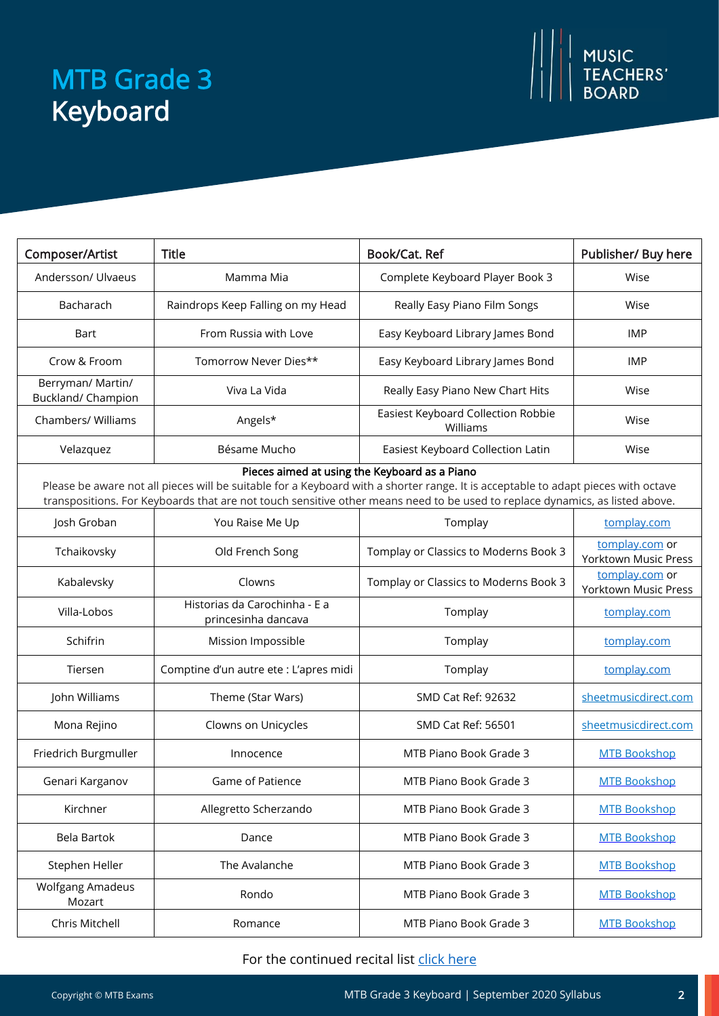# MTB Grade 3 Keyboard



| Composer/Artist                         | <b>Title</b>                                         | Book/Cat. Ref                                                                                                                                                                                                                                                                                                      | Publisher/ Buy here                           |
|-----------------------------------------|------------------------------------------------------|--------------------------------------------------------------------------------------------------------------------------------------------------------------------------------------------------------------------------------------------------------------------------------------------------------------------|-----------------------------------------------|
| Andersson/ Ulvaeus                      | Mamma Mia                                            | Complete Keyboard Player Book 3                                                                                                                                                                                                                                                                                    | Wise                                          |
| Bacharach                               | Raindrops Keep Falling on my Head                    | Really Easy Piano Film Songs                                                                                                                                                                                                                                                                                       | Wise                                          |
| Bart                                    | From Russia with Love                                | Easy Keyboard Library James Bond                                                                                                                                                                                                                                                                                   | <b>IMP</b>                                    |
| Crow & Froom                            | Tomorrow Never Dies**                                | Easy Keyboard Library James Bond                                                                                                                                                                                                                                                                                   | <b>IMP</b>                                    |
| Berryman/ Martin/<br>Buckland/ Champion | Viva La Vida                                         | Really Easy Piano New Chart Hits                                                                                                                                                                                                                                                                                   | Wise                                          |
| Chambers/ Williams                      | Angels*                                              | Easiest Keyboard Collection Robbie<br>Williams                                                                                                                                                                                                                                                                     | Wise                                          |
| Velazquez                               | Bésame Mucho                                         | Easiest Keyboard Collection Latin                                                                                                                                                                                                                                                                                  | Wise                                          |
|                                         |                                                      | Pieces aimed at using the Keyboard as a Piano<br>Please be aware not all pieces will be suitable for a Keyboard with a shorter range. It is acceptable to adapt pieces with octave<br>transpositions. For Keyboards that are not touch sensitive other means need to be used to replace dynamics, as listed above. |                                               |
| Josh Groban                             | You Raise Me Up                                      | Tomplay                                                                                                                                                                                                                                                                                                            | tomplay.com                                   |
| Tchaikovsky                             | Old French Song                                      | Tomplay or Classics to Moderns Book 3                                                                                                                                                                                                                                                                              | tomplay.com or<br><b>Yorktown Music Press</b> |
| Kabalevsky                              | Clowns                                               | Tomplay or Classics to Moderns Book 3                                                                                                                                                                                                                                                                              | tomplay.com or<br><b>Yorktown Music Press</b> |
| Villa-Lobos                             | Historias da Carochinha - E a<br>princesinha dancava | Tomplay                                                                                                                                                                                                                                                                                                            | tomplay.com                                   |
| Schifrin                                | Mission Impossible                                   | Tomplay                                                                                                                                                                                                                                                                                                            | tomplay.com                                   |
| Tiersen                                 | Comptine d'un autre ete : L'apres midi               | Tomplay                                                                                                                                                                                                                                                                                                            | tomplay.com                                   |
| John Williams                           | Theme (Star Wars)                                    | SMD Cat Ref: 92632                                                                                                                                                                                                                                                                                                 | sheetmusicdirect.com                          |
| Mona Rejino                             | Clowns on Unicycles                                  | SMD Cat Ref: 56501                                                                                                                                                                                                                                                                                                 | sheetmusicdirect.com                          |
| Friedrich Burgmuller                    | Innocence                                            | MTB Piano Book Grade 3                                                                                                                                                                                                                                                                                             | <b>MTB Bookshop</b>                           |
| Genari Karganov                         | Game of Patience                                     | MTB Piano Book Grade 3                                                                                                                                                                                                                                                                                             | <b>MTB Bookshop</b>                           |
| Kirchner                                | Allegretto Scherzando                                | MTB Piano Book Grade 3                                                                                                                                                                                                                                                                                             | <b>MTB Bookshop</b>                           |
| <b>Bela Bartok</b>                      | Dance                                                | MTB Piano Book Grade 3                                                                                                                                                                                                                                                                                             | <b>MTB Bookshop</b>                           |
| Stephen Heller                          | The Avalanche                                        | MTB Piano Book Grade 3                                                                                                                                                                                                                                                                                             | <b>MTB Bookshop</b>                           |
| Wolfgang Amadeus<br>Mozart              | Rondo                                                | MTB Piano Book Grade 3                                                                                                                                                                                                                                                                                             | <b>MTB Bookshop</b>                           |
| Chris Mitchell                          | Romance                                              | MTB Piano Book Grade 3                                                                                                                                                                                                                                                                                             | <b>MTB Bookshop</b>                           |

#### For the continued recital list [click here](https://www.mtbexams.com/wp-content/uploads/2021/02/MTB-Keyboard-Grade-3-Continued-Recital-List.pdf)